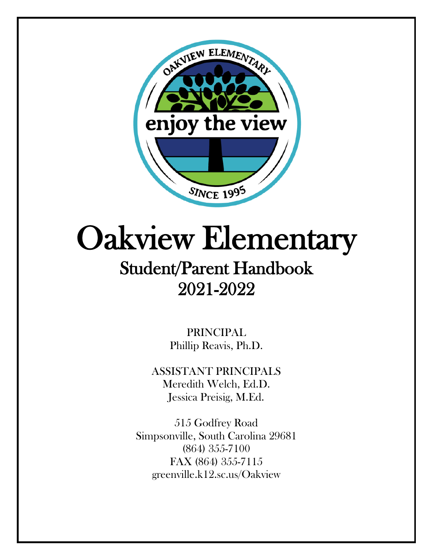

# Oakview Elementary Student/Parent Handbook

# 2021-2022

PRINCIPAL Phillip Reavis, Ph.D.

ASSISTANT PRINCIPALS Meredith Welch, Ed.D. Jessica Preisig, M.Ed.

515 Godfrey Road Simpsonville, South Carolina 29681 (864) 355-7100 FAX (864) 355-7115 greenville.k12.sc.us/Oakview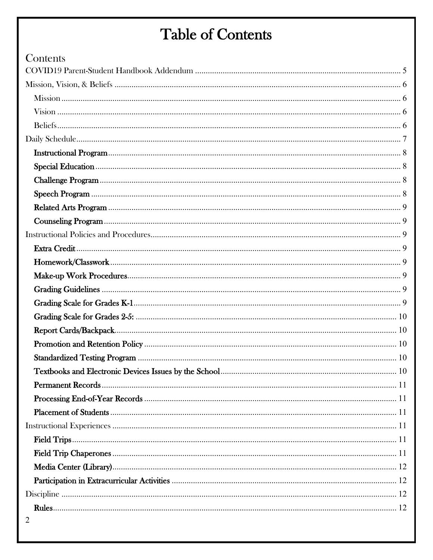## **Table of Contents**

| Contents       |  |
|----------------|--|
|                |  |
|                |  |
|                |  |
|                |  |
|                |  |
|                |  |
|                |  |
|                |  |
|                |  |
|                |  |
|                |  |
|                |  |
|                |  |
|                |  |
|                |  |
|                |  |
|                |  |
|                |  |
|                |  |
|                |  |
|                |  |
|                |  |
|                |  |
|                |  |
|                |  |
|                |  |
|                |  |
|                |  |
|                |  |
|                |  |
|                |  |
|                |  |
|                |  |
| $\overline{2}$ |  |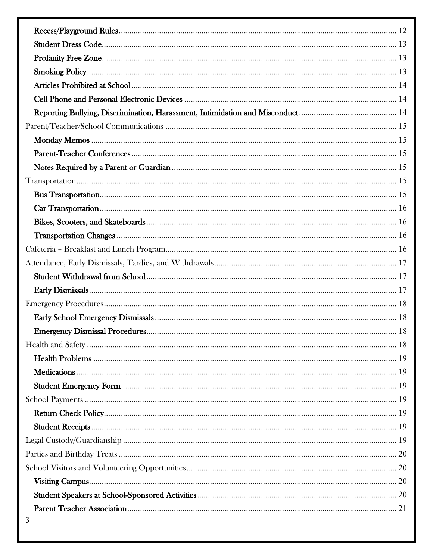| 3 |  |
|---|--|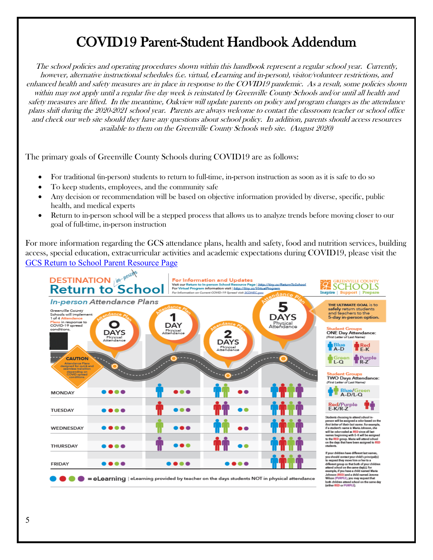## COVID19 Parent-Student Handbook Addendum

<span id="page-4-0"></span>The school policies and operating procedures shown within this handbook represent a regular school year. Currently, however, alternative instructional schedules (i.e. virtual, eLearning and in-person), visitor/volunteer restrictions, and enhanced health and safety measures are in place in response to the COVID19 pandemic. As a result, some policies shown within may not apply until a regular five day week is reinstated by Greenville County Schools and/or until all health and safety measures are lifted. In the meantime, Oakview will update parents on policy and program changes as the attendance plans shift during the 2020-2021 school year. Parents are always welcome to contact the classroom teacher or school office and check our web site should they have any questions about school policy. In addition, parents should access resources available to them on the Greenville County Schools web site. (August 2020)

The primary goals of Greenville County Schools during COVID19 are as follows:

- For traditional (in-person) students to return to full-time, in-person instruction as soon as it is safe to do so
- To keep students, employees, and the community safe
- Any decision or recommendation will be based on objective information provided by diverse, specific, public health, and medical experts
- Return to in-person school will be a stepped process that allows us to analyze trends before moving closer to our goal of full-time, in-person instruction

For more information regarding the GCS attendance plans, health and safety, food and nutrition services, building access, special education, extracurricular activities and academic expectations during COVID19, please visit the [GCS Return to School Parent Resource Page](https://indd.adobe.com/view/5e185c5c-2319-4dc2-bb55-fbbe0a149920?v=2) 

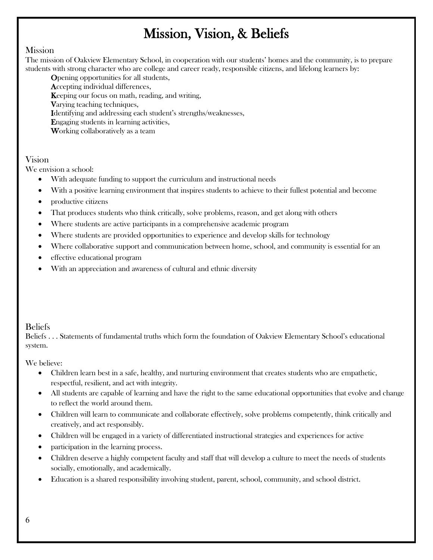## Mission, Vision, & Beliefs

### <span id="page-5-1"></span><span id="page-5-0"></span>**Mission**

The mission of Oakview Elementary School, in cooperation with our students' homes and the community, is to prepare students with strong character who are college and career ready, responsible citizens, and lifelong learners by:

Opening opportunities for all students,

Accepting individual differences,

Keeping our focus on math, reading, and writing,

Varying teaching techniques,

Identifying and addressing each student's strengths/weaknesses,

Engaging students in learning activities,

Working collaboratively as a team

### <span id="page-5-2"></span>Vision

We envision a school:

- With adequate funding to support the curriculum and instructional needs
- With a positive learning environment that inspires students to achieve to their fullest potential and become
- productive citizens
- That produces students who think critically, solve problems, reason, and get along with others
- Where students are active participants in a comprehensive academic program
- Where students are provided opportunities to experience and develop skills for technology
- Where collaborative support and communication between home, school, and community is essential for an
- effective educational program
- With an appreciation and awareness of cultural and ethnic diversity

### <span id="page-5-3"></span>Beliefs

Beliefs . . . Statements of fundamental truths which form the foundation of Oakview Elementary School's educational system.

### We believe:

- Children learn best in a safe, healthy, and nurturing environment that creates students who are empathetic, respectful, resilient, and act with integrity.
- All students are capable of learning and have the right to the same educational opportunities that evolve and change to reflect the world around them.
- Children will learn to communicate and collaborate effectively, solve problems competently, think critically and creatively, and act responsibly.
- Children will be engaged in a variety of differentiated instructional strategies and experiences for active
- participation in the learning process.
- Children deserve a highly competent faculty and staff that will develop a culture to meet the needs of students socially, emotionally, and academically.
- Education is a shared responsibility involving student, parent, school, community, and school district.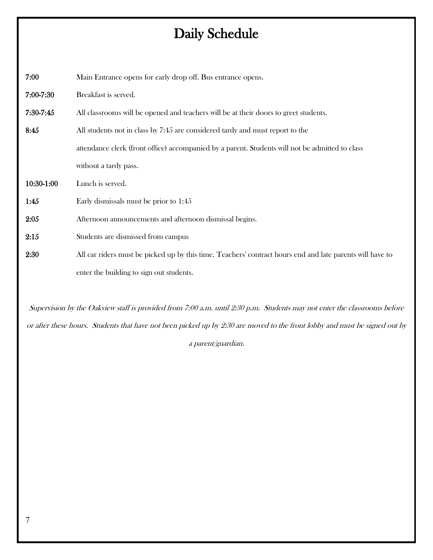## Daily Schedule

<span id="page-6-0"></span>7:00 Main Entrance opens for early drop off. Bus entrance opens. 7:00-7:30 Breakfast is served. 7:30-7:45 All classrooms will be opened and teachers will be at their doors to greet students. 8:45 All students not in class by 7:45 are considered tardy and must report to the attendance clerk (front office) accompanied by a parent. Students will not be admitted to class without a tardy pass. 10:30-1:00 Lunch is served. 1:45 Early dismissals must be prior to 1:45 2:05 Afternoon announcements and afternoon dismissal begins. 2:15 Students are dismissed from campus 2:30 All car riders must be picked up by this time. Teachers' contract hours end and late parents will have to

enter the building to sign out students.

Supervision by the Oakview staff is provided from 7:00 a.m. until 2:30 p.m. Students may not enter the classrooms before or after these hours. Students that have not been picked up by 2:30 are moved to the front lobby and must be signed out by

a parent/guardian.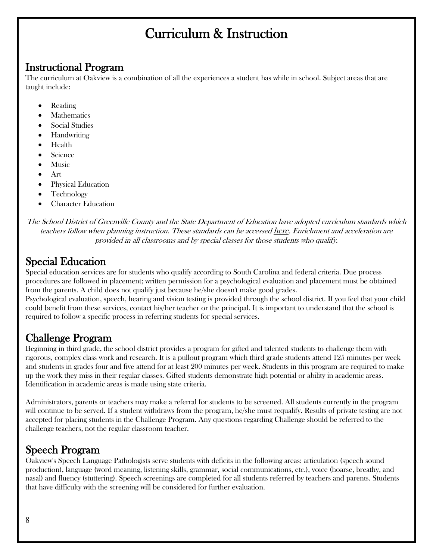## Curriculum & Instruction

<span id="page-7-0"></span>Instructional Program<br>The curriculum at Oakview is a combination of all the experiences a student has while in school. Subject areas that are taught include:

- Reading
- **Mathematics**
- Social Studies
- Handwriting
- Health
- Science
- **Music**
- Art
- Physical Education
- Technology
- Character Education

The School District of Greenville County and the State Department of Education have adopted curriculum standards which teachers follow when planning instruction. These standards can be accessed [here.](https://ed.sc.gov/instruction/standards-learning/) Enrichment and acceleration are provided in all classrooms and by special classes for those students who qualify.

<span id="page-7-1"></span>Special Education<br>Special education services are for students who qualify according to South Carolina and federal criteria. Due process procedures are followed in placement; written permission for a psychological evaluation and placement must be obtained from the parents. A child does not qualify just because he/she doesn't make good grades.

Psychological evaluation, speech, hearing and vision testing is provided through the school district. If you feel that your child could benefit from these services, contact his/her teacher or the principal. It is important to understand that the school is required to follow a specific process in referring students for special services.

<span id="page-7-2"></span>**Challenge Program**<br>Beginning in third grade, the school district provides a program for gifted and talented students to challenge them with rigorous, complex class work and research. It is a pullout program which third grade students attend 125 minutes per week and students in grades four and five attend for at least 200 minutes per week. Students in this program are required to make up the work they miss in their regular classes. Gifted students demonstrate high potential or ability in academic areas. Identification in academic areas is made using state criteria.

Administrators, parents or teachers may make a referral for students to be screened. All students currently in the program will continue to be served. If a student withdraws from the program, he/she must requalify. Results of private testing are not accepted for placing students in the Challenge Program. Any questions regarding Challenge should be referred to the challenge teachers, not the regular classroom teacher.

<span id="page-7-3"></span>Speech Program<br>Oakview's Speech Language Pathologists serve students with deficits in the following areas: articulation (speech sound production), language (word meaning, listening skills, grammar, social communications, etc.), voice (hoarse, breathy, and nasal) and fluency (stuttering). Speech screenings are completed for all students referred by teachers and parents. Students that have difficulty with the screening will be considered for further evaluation.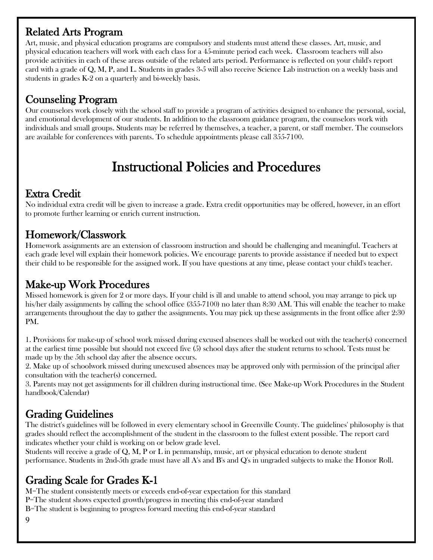<span id="page-8-0"></span>Related Arts Program<br>Art, music, and physical education programs are compulsory and students must attend these classes. Art, music, and physical education teachers will work with each class for a 45-minute period each week. Classroom teachers will also provide activities in each of these areas outside of the related arts period. Performance is reflected on your child's report card with a grade of Q, M, P, and L. Students in grades 3-5 will also receive Science Lab instruction on a weekly basis and students in grades K-2 on a quarterly and bi-weekly basis.

<span id="page-8-1"></span>**Counseling Program**<br>Our counselors work closely with the school staff to provide a program of activities designed to enhance the personal, social, and emotional development of our students. In addition to the classroom guidance program, the counselors work with individuals and small groups. Students may be referred by themselves, a teacher, a parent, or staff member. The counselors are available for conferences with parents. To schedule appointments please call 355-7100.

## Instructional Policies and Procedures

<span id="page-8-3"></span><span id="page-8-2"></span>Extra Credit<br>No individual extra credit will be given to increase a grade. Extra credit opportunities may be offered, however, in an effort to promote further learning or enrich current instruction.

<span id="page-8-4"></span>Homework/Classwork<br>Homework assignments are an extension of classroom instruction and should be challenging and meaningful. Teachers at each grade level will explain their homework policies. We encourage parents to provide assistance if needed but to expect their child to be responsible for the assigned work. If you have questions at any time, please contact your child's teacher.

<span id="page-8-5"></span>**Make-up Work Procedures**<br>Missed homework is given for 2 or more days. If your child is ill and unable to attend school, you may arrange to pick up his/her daily assignments by calling the school office (355-7100) no later than 8:30 AM. This will enable the teacher to make arrangements throughout the day to gather the assignments. You may pick up these assignments in the front office after 2:30 PM.

1. Provisions for make-up of school work missed during excused absences shall be worked out with the teacher(s) concerned at the earliest time possible but should not exceed five (5) school days after the student returns to school. Tests must be made up by the 5th school day after the absence occurs.

2. Make up of schoolwork missed during unexcused absences may be approved only with permission of the principal after consultation with the teacher(s) concerned.

3. Parents may not get assignments for ill children during instructional time. (See Make-up Work Procedures in the Student handbook/Calendar)

## <span id="page-8-6"></span>Grading Guidelines

The district's guidelines will be followed in every elementary school in Greenville County. The guidelines' philosophy is that grades should reflect the accomplishment of the student in the classroom to the fullest extent possible. The report card indicates whether your child is working on or below grade level.

Students will receive a grade of Q, M, P or L in penmanship, music, art or physical education to denote student performance. Students in 2nd-5th grade must have all A's and B's and Q's in ungraded subjects to make the Honor Roll.

<span id="page-8-7"></span>**Grading Scale for Grades K-1**<br>M=The student consistently meets or exceeds end-of-year expectation for this standard P=The student shows expected growth/progress in meeting this end-of-year standard B=The student is beginning to progress forward meeting this end-of-year standard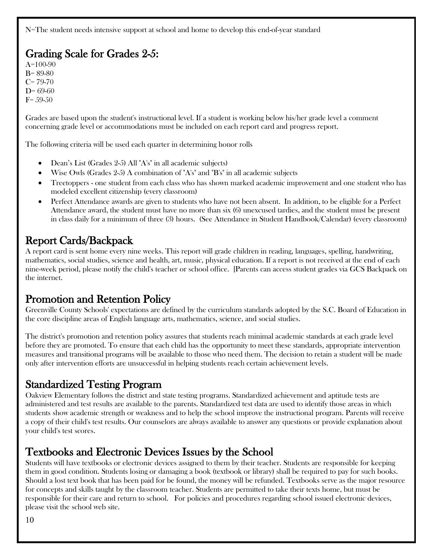N=The student needs intensive support at school and home to develop this end-of-year standard

## <span id="page-9-0"></span>Grading Scale for Grades  $2-5$ :

B= 89-80  $C= 79-70$  $D = 69-60$  $F = 59-50$ 

Grades are based upon the student's instructional level. If a student is working below his/her grade level a comment concerning grade level or accommodations must be included on each report card and progress report.

The following criteria will be used each quarter in determining honor rolls

- Dean's List (Grades 2-5) All "A's" in all academic subjects)
- Wise Owls (Grades 2-5) A combination of "A's" and "B's" in all academic subjects
- Treetoppers one student from each class who has shown marked academic improvement and one student who has modeled excellent citizenship (every classroom)
- Perfect Attendance awards are given to students who have not been absent. In addition, to be eligible for a Perfect Attendance award, the student must have no more than six (6) unexcused tardies, and the student must be present in class daily for a minimum of three (3) hours. (See Attendance in Student Handbook/Calendar) (every classroom)

<span id="page-9-1"></span>Report Cards/Backpack<br>A report card is sent home every nine weeks. This report will grade children in reading, languages, spelling, handwriting, mathematics, social studies, science and health, art, music, physical education. If a report is not received at the end of each nine-week period, please notify the child's teacher or school office. [Parents can access student grades via GCS Backpack on the internet.

### <span id="page-9-2"></span>Promotion and Retention Policy

Greenville County Schools' expectations are defined by the curriculum standards adopted by the S.C. Board of Education in the core discipline areas of English language arts, mathematics, science, and social studies.

The district's promotion and retention policy assures that students reach minimal academic standards at each grade level before they are promoted. To ensure that each child has the opportunity to meet these standards, appropriate intervention measures and transitional programs will be available to those who need them. The decision to retain a student will be made only after intervention efforts are unsuccessful in helping students reach certain achievement levels.

## <span id="page-9-3"></span>Standardized Testing Program

Oakview Elementary follows the district and state testing programs. Standardized achievement and aptitude tests are administered and test results are available to the parents. Standardized test data are used to identify those areas in which students show academic strength or weakness and to help the school improve the instructional program. Parents will receive a copy of their child's test results. Our counselors are always available to answer any questions or provide explanation about your child's test scores.

<span id="page-9-4"></span>**Textbooks and Electronic Devices Issues by the School**<br>Students will have textbooks or electronic devices assigned to them by their teacher. Students are responsible for keeping them in good condition. Students losing or damaging a book (textbook or library) shall be required to pay for such books. Should a lost text book that has been paid for be found, the money will be refunded. Textbooks serve as the major resource for concepts and skills taught by the classroom teacher. Students are permitted to take their texts home, but must be responsible for their care and return to school. For policies and procedures regarding school issued electronic devices, please visit the school web site.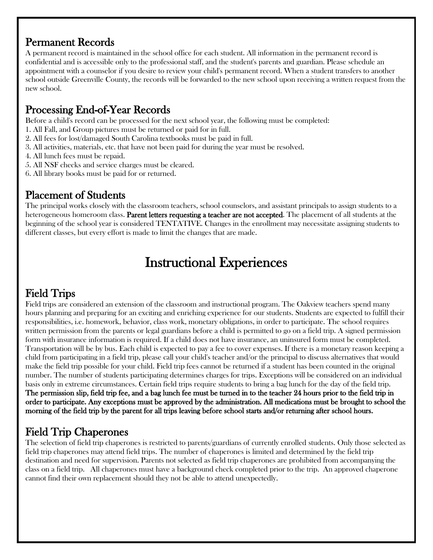## <span id="page-10-0"></span>Permanent Records

A permanent record is maintained in the school office for each student. All information in the permanent record is confidential and is accessible only to the professional staff, and the student's parents and guardian. Please schedule an appointment with a counselor if you desire to review your child's permanent record. When a student transfers to another school outside Greenville County, the records will be forwarded to the new school upon receiving a written request from the new school.

<span id="page-10-1"></span>**Processing End-of-Year Records**<br>Before a child's record can be processed for the next school year, the following must be completed:

- 1. All Fall, and Group pictures must be returned or paid for in full.
- 2. All fees for lost/damaged South Carolina textbooks must be paid in full.
- 3. All activities, materials, etc. that have not been paid for during the year must be resolved.
- 4. All lunch fees must be repaid.
- 5. All NSF checks and service charges must be cleared.
- 6. All library books must be paid for or returned.

<span id="page-10-2"></span>**Placement of Students**<br>The principal works closely with the classroom teachers, school counselors, and assistant principals to assign students to a heterogeneous homeroom class. **Parent letters requesting a teacher are not accepted**. The placement of all students at the beginning of the school year is considered TENTATIVE. Changes in the enrollment may necessitate assigning students to different classes, but every effort is made to limit the changes that are made.

## Instructional Experiences

<span id="page-10-4"></span><span id="page-10-3"></span>Field Trips<br>Field trips are considered an extension of the classroom and instructional program. The Oakview teachers spend many hours planning and preparing for an exciting and enriching experience for our students. Students are expected to fulfill their responsibilities, i.e. homework, behavior, class work, monetary obligations, in order to participate. The school requires written permission from the parents or legal guardians before a child is permitted to go on a field trip. A signed permission form with insurance information is required. If a child does not have insurance, an uninsured form must be completed. Transportation will be by bus. Each child is expected to pay a fee to cover expenses. If there is a monetary reason keeping a child from participating in a field trip, please call your child's teacher and/or the principal to discuss alternatives that would make the field trip possible for your child. Field trip fees cannot be returned if a student has been counted in the original number. The number of students participating determines charges for trips. Exceptions will be considered on an individual basis only in extreme circumstances. Certain field trips require students to bring a bag lunch for the day of the field trip. The permission slip, field trip fee, and a bag lunch fee must be turned in to the teacher 24 hours prior to the field trip in order to participate. Any exceptions must be approved by the administration. All medications must be brought to school the morning of the field trip by the parent for all trips leaving before school starts and/or returning after school hours.

<span id="page-10-5"></span>Field Trip Chaperones<br>The selection of field trip chaperones is restricted to parents/guardians of currently enrolled students. Only those selected as field trip chaperones may attend field trips. The number of chaperones is limited and determined by the field trip destination and need for supervision. Parents not selected as field trip chaperones are prohibited from accompanying the class on a field trip. All chaperones must have a background check completed prior to the trip. An approved chaperone cannot find their own replacement should they not be able to attend unexpectedly.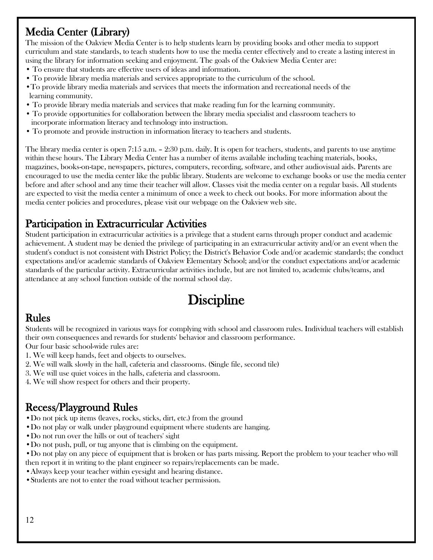## <span id="page-11-0"></span>Media Center (Library)

The mission of the Oakview Media Center is to help students learn by providing books and other media to support curriculum and state standards, to teach students how to use the media center effectively and to create a lasting interest in using the library for information seeking and enjoyment. The goals of the Oakview Media Center are:

- To ensure that students are effective users of ideas and information.
- To provide library media materials and services appropriate to the curriculum of the school.
- •To provide library media materials and services that meets the information and recreational needs of the learning community.
- To provide library media materials and services that make reading fun for the learning community.
- To provide opportunities for collaboration between the library media specialist and classroom teachers to incorporate information literacy and technology into instruction.
- To promote and provide instruction in information literacy to teachers and students.

The library media center is open 7:15 a.m. – 2:30 p.m. daily. It is open for teachers, students, and parents to use anytime within these hours. The Library Media Center has a number of items available including teaching materials, books, magazines, books-on-tape, newspapers, pictures, computers, recording, software, and other audiovisual aids. Parents are encouraged to use the media center like the public library. Students are welcome to exchange books or use the media center before and after school and any time their teacher will allow. Classes visit the media center on a regular basis. All students are expected to visit the media center a minimum of once a week to check out books. For more information about the media center policies and procedures, please visit our webpage on the Oakview web site.

<span id="page-11-1"></span>**Participation in Extracurricular Activities**<br>Student participation in extracurricular activities is a privilege that a student earns through proper conduct and academic achievement. A student may be denied the privilege of participating in an extracurricular activity and/or an event when the student's conduct is not consistent with District Policy; the District's Behavior Code and/or academic standards; the conduct expectations and/or academic standards of Oakview Elementary School; and/or the conduct expectations and/or academic standards of the particular activity. Extracurricular activities include, but are not limited to, academic clubs/teams, and attendance at any school function outside of the normal school day.

## **Discipline**

## <span id="page-11-3"></span><span id="page-11-2"></span>Rules

Students will be recognized in various ways for complying with school and classroom rules. Individual teachers will establish their own consequences and rewards for students' behavior and classroom performance.

Our four basic school-wide rules are:

- 1. We will keep hands, feet and objects to ourselves.
- 2. We will walk slowly in the hall, cafeteria and classrooms. (Single file, second tile)
- 3. We will use quiet voices in the halls, cafeteria and classroom.
- 4. We will show respect for others and their property.

- <span id="page-11-4"></span>Recess/Playground Rules<br>•Do not pick up items (leaves, rocks, sticks, dirt, etc.) from the ground
- •Do not play or walk under playground equipment where students are hanging.
- •Do not run over the hills or out of teachers' sight
- •Do not push, pull, or tug anyone that is climbing on the equipment.
- •Do not play on any piece of equipment that is broken or has parts missing. Report the problem to your teacher who will then report it in writing to the plant engineer so repairs/replacements can be made.
- •Always keep your teacher within eyesight and hearing distance.
- •Students are not to enter the road without teacher permission.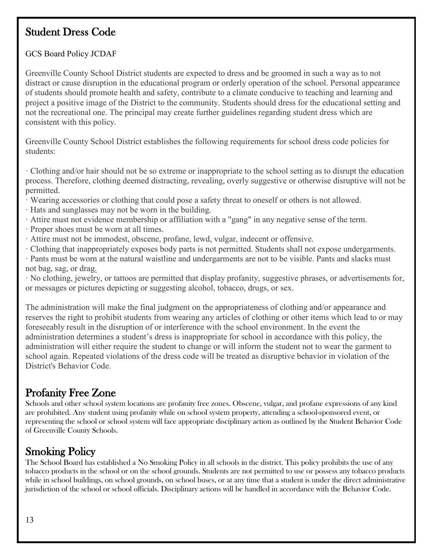## <span id="page-12-0"></span>Student Dress Code

### GCS Board Policy JCDAF

Greenville County School District students are expected to dress and be groomed in such a way as to not distract or cause disruption in the educational program or orderly operation of the school. Personal appearance of students should promote health and safety, contribute to a climate conducive to teaching and learning and project a positive image of the District to the community. Students should dress for the educational setting and not the recreational one. The principal may create further guidelines regarding student dress which are consistent with this policy.

Greenville County School District establishes the following requirements for school dress code policies for students:

· Clothing and/or hair should not be so extreme or inappropriate to the school setting as to disrupt the education process. Therefore, clothing deemed distracting, revealing, overly suggestive or otherwise disruptive will not be permitted.

- · Wearing accessories or clothing that could pose a safety threat to oneself or others is not allowed.
- · Hats and sunglasses may not be worn in the building.
- · Attire must not evidence membership or affiliation with a "gang" in any negative sense of the term.
- · Proper shoes must be worn at all times.
- · Attire must not be immodest, obscene, profane, lewd, vulgar, indecent or offensive.
- · Clothing that inappropriately exposes body parts is not permitted. Students shall not expose undergarments.
- · Pants must be worn at the natural waistline and undergarments are not to be visible. Pants and slacks must not bag, sag, or drag.

· No clothing, jewelry, or tattoos are permitted that display profanity, suggestive phrases, or advertisements for, or messages or pictures depicting or suggesting alcohol, tobacco, drugs, or sex.

The administration will make the final judgment on the appropriateness of clothing and/or appearance and reserves the right to prohibit students from wearing any articles of clothing or other items which lead to or may foreseeably result in the disruption of or interference with the school environment. In the event the administration determines a student's dress is inappropriate for school in accordance with this policy, the administration will either require the student to change or will inform the student not to wear the garment to school again. Repeated violations of the dress code will be treated as disruptive behavior in violation of the District's Behavior Code.

## <span id="page-12-1"></span>Profanity Free Zone

Schools and other school system locations are profanity free zones. Obscene, vulgar, and profane expressions of any kind are prohibited. Any student using profanity while on school system property, attending a school-sponsored event, or representing the school or school system will face appropriate disciplinary action as outlined by the Student Behavior Code of Greenville County Schools.

<span id="page-12-2"></span>**Smoking Policy**<br>The School Board has established a No Smoking Policy in all schools in the district. This policy prohibits the use of any tobacco products in the school or on the school grounds. Students are not permitted to use or possess any tobacco products while in school buildings, on school grounds, on school buses, or at any time that a student is under the direct administrative jurisdiction of the school or school officials. Disciplinary actions will be handled in accordance with the Behavior Code.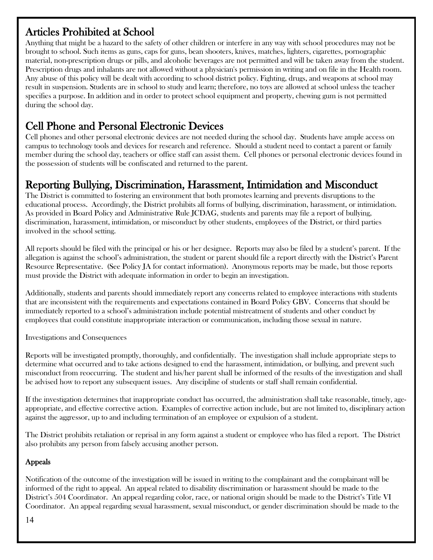<span id="page-13-0"></span>Articles Prohibited at School<br>Anything that might be a hazard to the safety of other children or interfere in any way with school procedures may not be brought to school. Such items as guns, caps for guns, bean shooters, knives, matches, lighters, cigarettes, pornographic material, non-prescription drugs or pills, and alcoholic beverages are not permitted and will be taken away from the student. Prescription drugs and inhalants are not allowed without a physician's permission in writing and on file in the Health room. Any abuse of this policy will be dealt with according to school district policy. Fighting, drugs, and weapons at school may result in suspension. Students are in school to study and learn; therefore, no toys are allowed at school unless the teacher specifies a purpose. In addition and in order to protect school equipment and property, chewing gum is not permitted during the school day.

<span id="page-13-1"></span>Cell Phone and Personal Electronic Devices<br>Cell phones and other personal electronic devices are not needed during the school day. Students have ample access on campus to technology tools and devices for research and reference. Should a student need to contact a parent or family member during the school day, teachers or office staff can assist them. Cell phones or personal electronic devices found in the possession of students will be confiscated and returned to the parent.

## <span id="page-13-2"></span>Reporting Bullying, Discrimination, Harassment, Intimidation and Misconduct<br>The District is committed to fostering an environment that both promotes learning and prevents disruptions to the

educational process. Accordingly, the District prohibits all forms of bullying, discrimination, harassment, or intimidation. As provided in Board Policy and Administrative Rule JCDAG, students and parents may file a report of bullying, discrimination, harassment, intimidation, or misconduct by other students, employees of the District, or third parties involved in the school setting.

All reports should be filed with the principal or his or her designee. Reports may also be filed by a student's parent. If the allegation is against the school's administration, the student or parent should file a report directly with the District's Parent Resource Representative. (See Policy JA for contact information). Anonymous reports may be made, but those reports must provide the District with adequate information in order to begin an investigation.

Additionally, students and parents should immediately report any concerns related to employee interactions with students that are inconsistent with the requirements and expectations contained in Board Policy GBV. Concerns that should be immediately reported to a school's administration include potential mistreatment of students and other conduct by employees that could constitute inappropriate interaction or communication, including those sexual in nature.

Investigations and Consequences

Reports will be investigated promptly, thoroughly, and confidentially. The investigation shall include appropriate steps to determine what occurred and to take actions designed to end the harassment, intimidation, or bullying, and prevent such misconduct from reoccurring. The student and his/her parent shall be informed of the results of the investigation and shall be advised how to report any subsequent issues. Any discipline of students or staff shall remain confidential.

If the investigation determines that inappropriate conduct has occurred, the administration shall take reasonable, timely, ageappropriate, and effective corrective action. Examples of corrective action include, but are not limited to, disciplinary action against the aggressor, up to and including termination of an employee or expulsion of a student.

The District prohibits retaliation or reprisal in any form against a student or employee who has filed a report. The District also prohibits any person from falsely accusing another person.

### Appeals

Notification of the outcome of the investigation will be issued in writing to the complainant and the complainant will be informed of the right to appeal. An appeal related to disability discrimination or harassment should be made to the District's 504 Coordinator. An appeal regarding color, race, or national origin should be made to the District's Title VI Coordinator. An appeal regarding sexual harassment, sexual misconduct, or gender discrimination should be made to the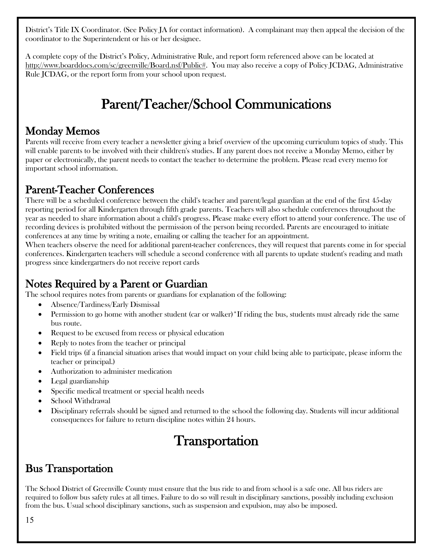District's Title IX Coordinator. (See Policy JA for contact information). A complainant may then appeal the decision of the coordinator to the Superintendent or his or her designee.

<span id="page-14-0"></span>A complete copy of the District's Policy, Administrative Rule, and report form referenced above can be located at [http://www.boarddocs.com/sc/greenville/Board.nsf/Public#.](http://www.boarddocs.com/sc/greenville/Board.nsf/Public) You may also receive a copy of Policy JCDAG, Administrative Rule JCDAG, or the report form from your school upon request.

## Parent/Teacher/School Communications

<span id="page-14-1"></span>**Monday Memos**<br>Parents will receive from every teacher a newsletter giving a brief overview of the upcoming curriculum topics of study. This will enable parents to be involved with their children's studies. If any parent does not receive a Monday Memo, either by paper or electronically, the parent needs to contact the teacher to determine the problem. Please read every memo for important school information.

## <span id="page-14-2"></span>Parent-Teacher Conferences

There will be a scheduled conference between the child's teacher and parent/legal guardian at the end of the first 45-day reporting period for all Kindergarten through fifth grade parents. Teachers will also schedule conferences throughout the year as needed to share information about a child's progress. Please make every effort to attend your conference. The use of recording devices is prohibited without the permission of the person being recorded. Parents are encouraged to initiate conferences at any time by writing a note, emailing or calling the teacher for an appointment.

When teachers observe the need for additional parent-teacher conferences, they will request that parents come in for special conferences. Kindergarten teachers will schedule a second conference with all parents to update student's reading and math progress since kindergartners do not receive report cards

## <span id="page-14-3"></span>Notes Required by a Parent or Guardian

The school requires notes from parents or guardians for explanation of the following:

- Absence/Tardiness/Early Dismissal
- Permission to go home with another student (car or walker)\*If riding the bus, students must already ride the same bus route.
- Request to be excused from recess or physical education
- Reply to notes from the teacher or principal
- Field trips (if a financial situation arises that would impact on your child being able to participate, please inform the teacher or principal.)
- Authorization to administer medication
- Legal guardianship
- Specific medical treatment or special health needs
- School Withdrawal
- <span id="page-14-4"></span>• Disciplinary referrals should be signed and returned to the school the following day. Students will incur additional consequences for failure to return discipline notes within 24 hours.

## **Transportation**

## <span id="page-14-5"></span>Bus Transportation

The School District of Greenville County must ensure that the bus ride to and from school is a safe one. All bus riders are required to follow bus safety rules at all times. Failure to do so will result in disciplinary sanctions, possibly including exclusion from the bus. Usual school disciplinary sanctions, such as suspension and expulsion, may also be imposed.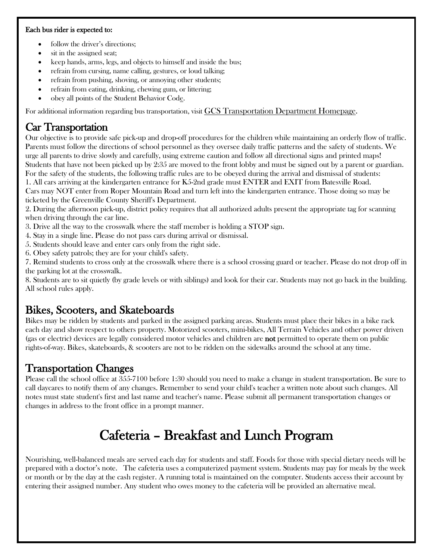### Each bus rider is expected to:

- follow the driver's directions;
- sit in the assigned seat;
- keep hands, arms, legs, and objects to himself and inside the bus;
- refrain from cursing, name calling, gestures, or loud talking;
- refrain from pushing, shoving, or annoying other students;
- refrain from eating, drinking, chewing gum, or littering;
- obey all points of the [Student Behavior Code.](https://www.greenville.k12.sc.us/Parents/main.asp?titleid=gcspolicies)

For additional information regarding bus transportation, visit GCS Transportation [Department Homepage.](https://www.greenville.k12.sc.us/Departments/main.asp?titleid=transp)

## <span id="page-15-0"></span>Car Transportation

Our objective is to provide safe pick-up and drop-off procedures for the children while maintaining an orderly flow of traffic. Parents must follow the directions of school personnel as they oversee daily traffic patterns and the safety of students. We urge all parents to drive slowly and carefully, using extreme caution and follow all directional signs and printed maps! Students that have not been picked up by 2:35 are moved to the front lobby and must be signed out by a parent or guardian. For the safety of the students, the following traffic rules are to be obeyed during the arrival and dismissal of students: 1. All cars arriving at the kindergarten entrance for K5-2nd grade must ENTER and EXIT from Batesville Road.

Cars may NOT enter from Roper Mountain Road and turn left into the kindergarten entrance. Those doing so may be ticketed by the Greenville County Sheriff's Department.

2. During the afternoon pick-up, district policy requires that all authorized adults present the appropriate tag for scanning when driving through the car line.

3. Drive all the way to the crosswalk where the staff member is holding a STOP sign.

- 4. Stay in a single line. Please do not pass cars during arrival or dismissal.
- 5. Students should leave and enter cars only from the right side.
- 6. Obey safety patrols; they are for your child's safety.

7. Remind students to cross only at the crosswalk where there is a school crossing guard or teacher. Please do not drop off in the parking lot at the crosswalk.

8. Students are to sit quietly (by grade levels or with siblings) and look for their car. Students may not go back in the building. All school rules apply.

<span id="page-15-1"></span>Bikes, Scooters, and Skateboards<br>Bikes may be ridden by students and parked in the assigned parking areas. Students must place their bikes in a bike rack each day and show respect to others property. Motorized scooters, mini-bikes, All Terrain Vehicles and other power driven (gas or electric) devices are legally considered motor vehicles and children are not permitted to operate them on public rights-of-way. Bikes, skateboards, & scooters are not to be ridden on the sidewalks around the school at any time.

## <span id="page-15-2"></span>Transportation Changes

Please call the school office at 355-7100 before 1:30 should you need to make a change in student transportation. Be sure to call daycares to notify them of any changes. Remember to send your child's teacher a written note about such changes. All notes must state student's first and last name and teacher's name. Please submit all permanent transportation changes or changes in address to the front office in a prompt manner.

## Cafeteria – Breakfast and Lunch Program

<span id="page-15-3"></span>Nourishing, well-balanced meals are served each day for students and staff. Foods for those with special dietary needs will be prepared with a doctor's note. The cafeteria uses a computerized payment system. Students may pay for meals by the week or month or by the day at the cash register. A running total is maintained on the computer. Students access their account by entering their assigned number. Any student who owes money to the cafeteria will be provided an alternative meal.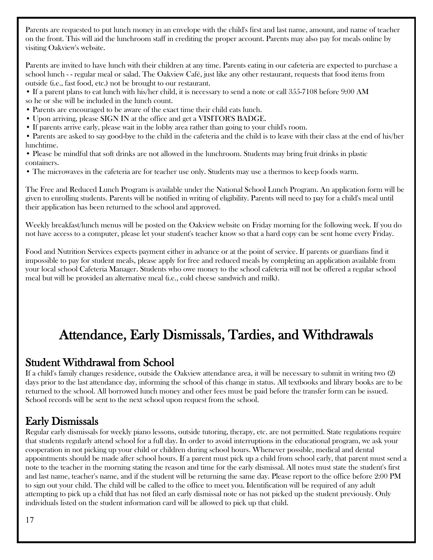Parents are requested to put lunch money in an envelope with the child's first and last name, amount, and name of teacher on the front. This will aid the lunchroom staff in crediting the proper account. Parents may also pay for meals online by visiting Oakview's website.

Parents are invited to have lunch with their children at any time. Parents eating in our cafeteria are expected to purchase a school lunch - - regular meal or salad. The Oakview Café, just like any other restaurant, requests that food items from outside (i.e., fast food, etc.) not be brought to our restaurant.

- If a parent plans to eat lunch with his/her child, it is necessary to send a note or call 355-7108 before 9:00 AM
- so he or she will be included in the lunch count.
- Parents are encouraged to be aware of the exact time their child eats lunch.
- Upon arriving, please SIGN IN at the office and get a VISITOR'S BADGE.
- If parents arrive early, please wait in the lobby area rather than going to your child's room.

• Parents are asked to say good-bye to the child in the cafeteria and the child is to leave with their class at the end of his/her lunchtime.

- Please be mindful that soft drinks are not allowed in the lunchroom. Students may bring fruit drinks in plastic containers.
- The microwaves in the cafeteria are for teacher use only. Students may use a thermos to keep foods warm.

The Free and Reduced Lunch Program is available under the National School Lunch Program. An application form will be given to enrolling students. Parents will be notified in writing of eligibility. Parents will need to pay for a child's meal until their application has been returned to the school and approved.

Weekly breakfast/lunch menus will be posted on the Oakview website on Friday morning for the following week. If you do not have access to a computer, please let your student's teacher know so that a hard copy can be sent home every Friday.

Food and Nutrition Services expects payment either in advance or at the point of service. If parents or guardians find it impossible to pay for student meals, please apply for free and reduced meals by completing an application available from your local school Cafeteria Manager. Students who owe money to the school cafeteria will not be offered a regular school meal but will be provided an alternative meal (i.e., cold cheese sandwich and milk).

## <span id="page-16-0"></span>Attendance, Early Dismissals, Tardies, and Withdrawals

<span id="page-16-1"></span>**Student Withdrawal from School**<br>If a child's family changes residence, outside the Oakview attendance area, it will be necessary to submit in writing two (2) days prior to the last attendance day, informing the school of this change in status. All textbooks and library books are to be returned to the school. All borrowed lunch money and other fees must be paid before the transfer form can be issued. School records will be sent to the next school upon request from the school.

## <span id="page-16-2"></span>Early Dismissals

Regular early dismissals for weekly piano lessons, outside tutoring, therapy, etc. are not permitted. State regulations require that students regularly attend school for a full day. In order to avoid interruptions in the educational program, we ask your cooperation in not picking up your child or children during school hours. Whenever possible, medical and dental appointments should be made after school hours. If a parent must pick up a child from school early, that parent must send a note to the teacher in the morning stating the reason and time for the early dismissal. All notes must state the student's first and last name, teacher's name, and if the student will be returning the same day. Please report to the office before 2:00 PM to sign out your child. The child will be called to the office to meet you. Identification will be required of any adult attempting to pick up a child that has not filed an early dismissal note or has not picked up the student previously. Only individuals listed on the student information card will be allowed to pick up that child.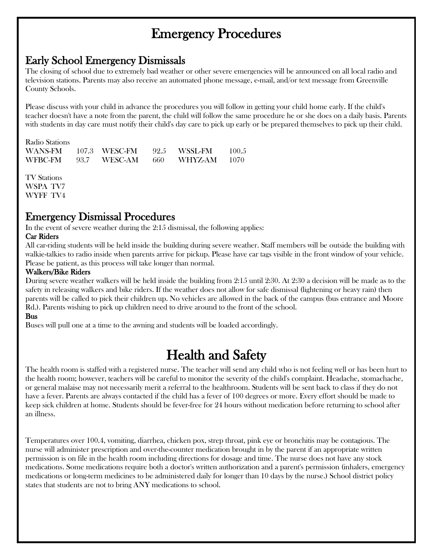## Emergency Procedures

<span id="page-17-1"></span><span id="page-17-0"></span>Early School Emergency Dismissals<br>The closing of school due to extremely bad weather or other severe emergencies will be announced on all local radio and television stations. Parents may also receive an automated phone message, e-mail, and/or text message from Greenville County Schools.

Please discuss with your child in advance the procedures you will follow in getting your child home early. If the child's teacher doesn't have a note from the parent, the child will follow the same procedure he or she does on a daily basis. Parents with students in day care must notify their child's day care to pick up early or be prepared themselves to pick up their child.

| Radio Stations |                 |      |              |       |
|----------------|-----------------|------|--------------|-------|
| WANS-FM        | - 107.3 WESC-FM |      | 92.5 WSSL-FM | 100.5 |
| WFBC-FM        | 93.7 WESC-AM    | -660 | - WHYZ-AM    | 1070  |

TV Stations WSPA TV7 WYFF TV4

### <span id="page-17-2"></span>Emergency Dismissal Procedures

In the event of severe weather during the 2:15 dismissal, the following applies:

### Car Riders

All car-riding students will be held inside the building during severe weather. Staff members will be outside the building with walkie-talkies to radio inside when parents arrive for pickup. Please have car tags visible in the front window of your vehicle. Please be patient, as this process will take longer than normal.

### Walkers/Bike Riders

During severe weather walkers will be held inside the building from 2:15 until 2:30. At 2:30 a decision will be made as to the safety in releasing walkers and bike riders. If the weather does not allow for safe dismissal (lightening or heavy rain) then parents will be called to pick their children up. No vehicles are allowed in the back of the campus (bus entrance and Moore Rd.). Parents wishing to pick up children need to drive around to the front of the school.

### Bus

Buses will pull one at a time to the awning and students will be loaded accordingly.

<span id="page-17-3"></span> $\textbf{Health}$  and  $\textbf{Safety}$ <br>The health room is staffed with a registered nurse. The teacher will send any child who is not feeling well or has been hurt to the health room; however, teachers will be careful to monitor the severity of the child's complaint. Headache, stomachache, or general malaise may not necessarily merit a referral to the healthroom. Students will be sent back to class if they do not have a fever. Parents are always contacted if the child has a fever of 100 degrees or more. Every effort should be made to keep sick children at home. Students should be fever-free for 24 hours without medication before returning to school after an illness.

Temperatures over 100.4, vomiting, diarrhea, chicken pox, strep throat, pink eye or bronchitis may be contagious. The nurse will administer prescription and over-the-counter medication brought in by the parent if an appropriate written permission is on file in the health room including directions for dosage and time. The nurse does not have any stock medications. Some medications require both a doctor's written authorization and a parent's permission (inhalers, emergency medications or long-term medicines to be administered daily for longer than 10 days by the nurse.) School district policy states that students are not to bring ANY medications to school.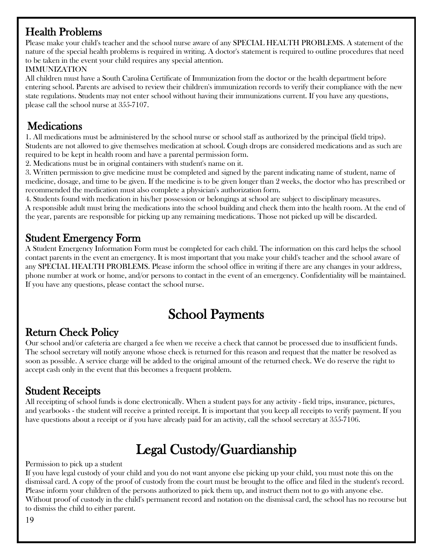## <span id="page-18-0"></span>Health Problems

Please make your child's teacher and the school nurse aware of any SPECIAL HEALTH PROBLEMS. A statement of the nature of the special health problems is required in writing. A doctor's statement is required to outline procedures that need to be taken in the event your child requires any special attention.

### IMMUNIZATION

All children must have a South Carolina Certificate of Immunization from the doctor or the health department before entering school. Parents are advised to review their children's immunization records to verify their compliance with the new state regulations. Students may not enter school without having their immunizations current. If you have any questions, please call the school nurse at 355-7107.

<span id="page-18-1"></span>**Medications**<br>1. All medications must be administered by the school nurse or school staff as authorized by the principal (field trips). Students are not allowed to give themselves medication at school. Cough drops are considered medications and as such are required to be kept in health room and have a parental permission form.

2. Medications must be in original containers with student's name on it.

3. Written permission to give medicine must be completed and signed by the parent indicating name of student, name of medicine, dosage, and time to be given. If the medicine is to be given longer than 2 weeks, the doctor who has prescribed or recommended the medication must also complete a physician's authorization form.

4. Students found with medication in his/her possession or belongings at school are subject to disciplinary measures.

A responsible adult must bring the medications into the school building and check them into the health room. At the end of the year, parents are responsible for picking up any remaining medications. Those not picked up will be discarded.

## <span id="page-18-2"></span>Student Emergency Form

A Student Emergency Information Form must be completed for each child. The information on this card helps the school contact parents in the event an emergency. It is most important that you make your child's teacher and the school aware of any SPECIAL HEALTH PROBLEMS. Please inform the school office in writing if there are any changes in your address, phone number at work or home, and/or persons to contact in the event of an emergency. Confidentiality will be maintained. If you have any questions, please contact the school nurse.

## School Payments

<span id="page-18-4"></span><span id="page-18-3"></span>**Return Check Policy**<br>Our school and/or cafeteria are charged a fee when we receive a check that cannot be processed due to insufficient funds. The school secretary will notify anyone whose check is returned for this reason and request that the matter be resolved as soon as possible. A service charge will be added to the original amount of the returned check. We do reserve the right to accept cash only in the event that this becomes a frequent problem.

<span id="page-18-5"></span>**Student Receipts**<br>All receipting of school funds is done electronically. When a student pays for any activity - field trips, insurance, pictures, and yearbooks - the student will receive a printed receipt. It is important that you keep all receipts to verify payment. If you have questions about a receipt or if you have already paid for an activity, call the school secretary at 355-7106.

## <span id="page-18-6"></span>Legal Custody/Guardianship<br>Permission to pick up a student

If you have legal custody of your child and you do not want anyone else picking up your child, you must note this on the dismissal card. A copy of the proof of custody from the court must be brought to the office and filed in the student's record. Please inform your children of the persons authorized to pick them up, and instruct them not to go with anyone else. Without proof of custody in the child's permanent record and notation on the dismissal card, the school has no recourse but to dismiss the child to either parent.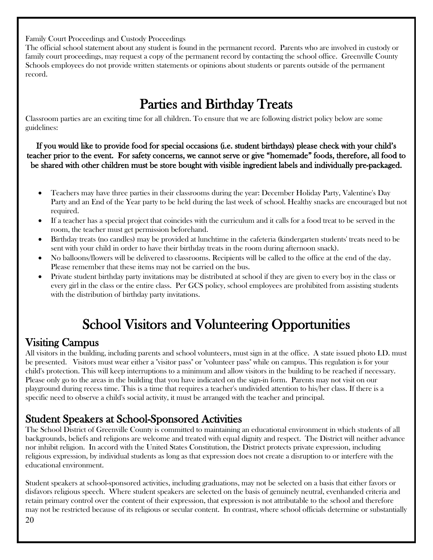Family Court Proceedings and Custody Proceedings

The official school statement about any student is found in the permanent record. Parents who are involved in custody or family court proceedings, may request a copy of the permanent record by contacting the school office. Greenville County Schools employees do not provide written statements or opinions about students or parents outside of the permanent record.

<span id="page-19-0"></span>**Parties and Birthday Treats**<br>Classroom parties are an exciting time for all children. To ensure that we are following district policy below are some guidelines:

If you would like to provide food for special occasions (i.e. student birthdays) please check with your child's teacher prior to the event. For safety concerns, we cannot serve or give "homemade" foods, therefore, all food to be shared with other children must be store bought with visible ingredient labels and individually pre-packaged.

- Teachers may have three parties in their classrooms during the year: December Holiday Party, Valentine's Day Party and an End of the Year party to be held during the last week of school. Healthy snacks are encouraged but not required.
- If a teacher has a special project that coincides with the curriculum and it calls for a food treat to be served in the room, the teacher must get permission beforehand.
- Birthday treats (no candles) may be provided at lunchtime in the cafeteria (kindergarten students' treats need to be sent with your child in order to have their birthday treats in the room during afternoon snack).
- No balloons/flowers will be delivered to classrooms. Recipients will be called to the office at the end of the day. Please remember that these items may not be carried on the bus.
- Private student birthday party invitations may be distributed at school if they are given to every boy in the class or every girl in the class or the entire class. Per GCS policy, school employees are prohibited from assisting students with the distribution of birthday party invitations.

## School Visitors and Volunteering Opportunities

<span id="page-19-2"></span><span id="page-19-1"></span>**Visiting Campus**<br>All visitors in the building, including parents and school volunteers, must sign in at the office. A state issued photo I.D. must be presented. Visitors must wear either a "visitor pass" or "volunteer pass" while on campus. This regulation is for your child's protection. This will keep interruptions to a minimum and allow visitors in the building to be reached if necessary. Please only go to the areas in the building that you have indicated on the sign-in form. Parents may not visit on our playground during recess time. This is a time that requires a teacher's undivided attention to his/her class. If there is a specific need to observe a child's social activity, it must be arranged with the teacher and principal.

<span id="page-19-3"></span>**Student Speakers at School-Sponsored Activities**<br>The School District of Greenville County is committed to maintaining an educational environment in which students of all backgrounds, beliefs and religions are welcome and treated with equal dignity and respect. The District will neither advance nor inhibit religion. In accord with the United States Constitution, the District protects private expression, including religious expression, by individual students as long as that expression does not create a disruption to or interfere with the educational environment.

Student speakers at school-sponsored activities, including graduations, may not be selected on a basis that either favors or disfavors religious speech. Where student speakers are selected on the basis of genuinely neutral, evenhanded criteria and retain primary control over the content of their expression, that expression is not attributable to the school and therefore may not be restricted because of its religious or secular content. In contrast, where school officials determine or substantially